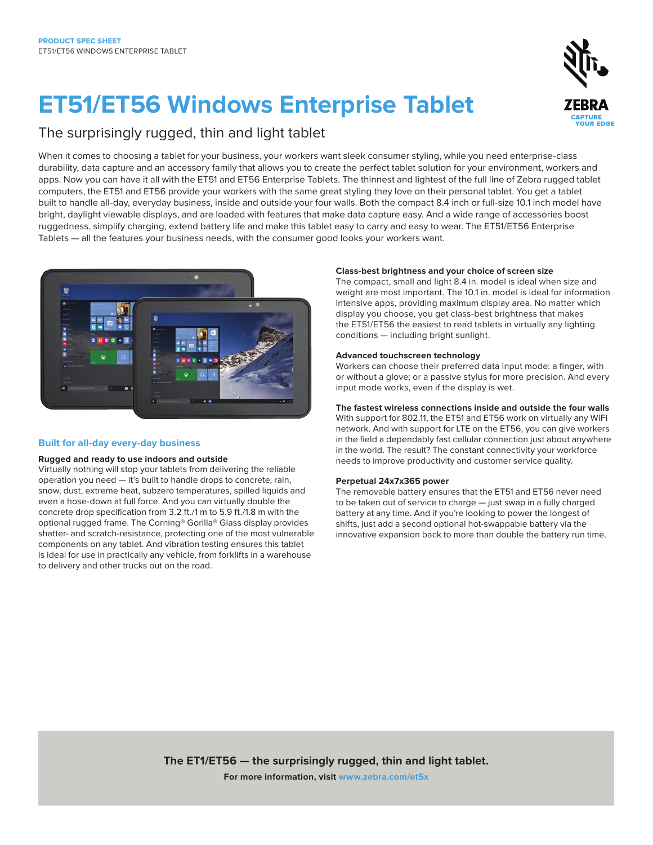# **ET51/ET56 Windows Enterprise Tablet**

### The surprisingly rugged, thin and light tablet

When it comes to choosing a tablet for your business, your workers want sleek consumer styling, while you need enterprise-class durability, data capture and an accessory family that allows you to create the perfect tablet solution for your environment, workers and apps. Now you can have it all with the ET51 and ET56 Enterprise Tablets. The thinnest and lightest of the full line of Zebra rugged tablet computers, the ET51 and ET56 provide your workers with the same great styling they love on their personal tablet. You get a tablet built to handle all-day, everyday business, inside and outside your four walls. Both the compact 8.4 inch or full-size 10.1 inch model have bright, daylight viewable displays, and are loaded with features that make data capture easy. And a wide range of accessories boost ruggedness, simplify charging, extend battery life and make this tablet easy to carry and easy to wear. The ET51/ET56 Enterprise Tablets — all the features your business needs, with the consumer good looks your workers want.



#### **Built for all-day every-day business**

#### **Rugged and ready to use indoors and outside**

Virtually nothing will stop your tablets from delivering the reliable operation you need — it's built to handle drops to concrete, rain, snow, dust, extreme heat, subzero temperatures, spilled liquids and even a hose-down at full force. And you can virtually double the concrete drop specification from 3.2 ft./1 m to 5.9 ft./1.8 m with the optional rugged frame. The Corning® Gorilla® Glass display provides shatter- and scratch-resistance, protecting one of the most vulnerable components on any tablet. And vibration testing ensures this tablet is ideal for use in practically any vehicle, from forklifts in a warehouse to delivery and other trucks out on the road.

#### **Class-best brightness and your choice of screen size**

The compact, small and light 8.4 in. model is ideal when size and weight are most important. The 10.1 in. model is ideal for information intensive apps, providing maximum display area. No matter which display you choose, you get class-best brightness that makes the ET51/ET56 the easiest to read tablets in virtually any lighting conditions — including bright sunlight.

#### **Advanced touchscreen technology**

Workers can choose their preferred data input mode: a finger, with or without a glove; or a passive stylus for more precision. And every input mode works, even if the display is wet.

#### **The fastest wireless connections inside and outside the four walls**

With support for 802.11, the ET51 and ET56 work on virtually any WiFi network. And with support for LTE on the ET56, you can give workers in the field a dependably fast cellular connection just about anywhere in the world. The result? The constant connectivity your workforce needs to improve productivity and customer service quality.

#### **Perpetual 24x7x365 power**

The removable battery ensures that the ET51 and ET56 never need to be taken out of service to charge — just swap in a fully charged battery at any time. And if you're looking to power the longest of shifts, just add a second optional hot-swappable battery via the innovative expansion back to more than double the battery run time.

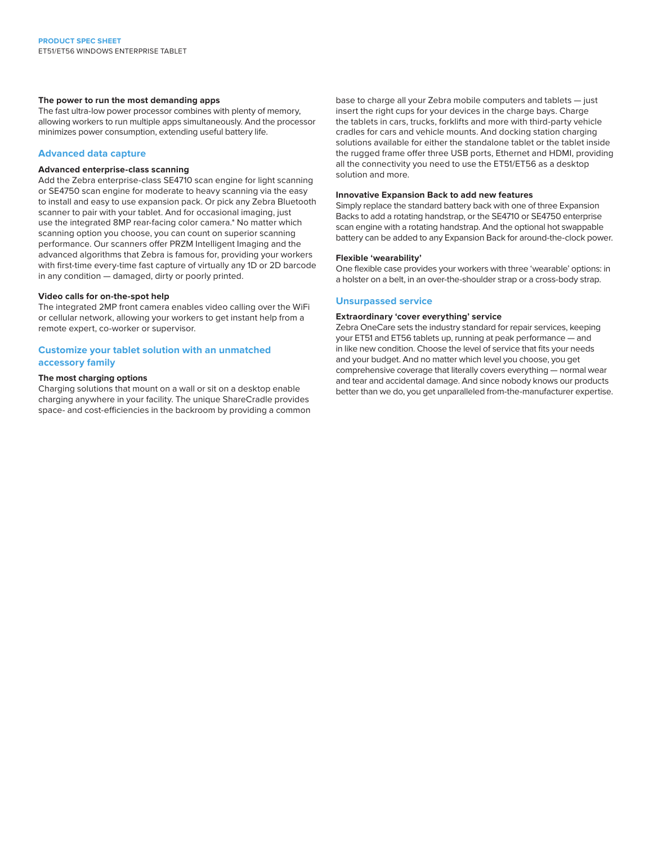#### **The power to run the most demanding apps**

The fast ultra-low power processor combines with plenty of memory, allowing workers to run multiple apps simultaneously. And the processor minimizes power consumption, extending useful battery life.

#### **Advanced data capture**

#### **Advanced enterprise-class scanning**

Add the Zebra enterprise-class SE4710 scan engine for light scanning or SE4750 scan engine for moderate to heavy scanning via the easy to install and easy to use expansion pack. Or pick any Zebra Bluetooth scanner to pair with your tablet. And for occasional imaging, just use the integrated 8MP rear-facing color camera.\* No matter which scanning option you choose, you can count on superior scanning performance. Our scanners offer PRZM Intelligent Imaging and the advanced algorithms that Zebra is famous for, providing your workers with first-time every-time fast capture of virtually any 1D or 2D barcode in any condition — damaged, dirty or poorly printed.

#### **Video calls for on-the-spot help**

The integrated 2MP front camera enables video calling over the WiFi or cellular network, allowing your workers to get instant help from a remote expert, co-worker or supervisor.

#### **Customize your tablet solution with an unmatched accessory family**

#### **The most charging options**

Charging solutions that mount on a wall or sit on a desktop enable charging anywhere in your facility. The unique ShareCradle provides space- and cost-efficiencies in the backroom by providing a common base to charge all your Zebra mobile computers and tablets — just insert the right cups for your devices in the charge bays. Charge the tablets in cars, trucks, forklifts and more with third-party vehicle cradles for cars and vehicle mounts. And docking station charging solutions available for either the standalone tablet or the tablet inside the rugged frame offer three USB ports, Ethernet and HDMI, providing all the connectivity you need to use the ET51/ET56 as a desktop solution and more.

#### **Innovative Expansion Back to add new features**

Simply replace the standard battery back with one of three Expansion Backs to add a rotating handstrap, or the SE4710 or SE4750 enterprise scan engine with a rotating handstrap. And the optional hot swappable battery can be added to any Expansion Back for around-the-clock power.

#### **Flexible 'wearability'**

One flexible case provides your workers with three 'wearable' options: in a holster on a belt, in an over-the-shoulder strap or a cross-body strap.

#### **Unsurpassed service**

#### **Extraordinary 'cover everything' service**

Zebra OneCare sets the industry standard for repair services, keeping your ET51 and ET56 tablets up, running at peak performance — and in like new condition. Choose the level of service that fits your needs and your budget. And no matter which level you choose, you get comprehensive coverage that literally covers everything — normal wear and tear and accidental damage. And since nobody knows our products better than we do, you get unparalleled from-the-manufacturer expertise.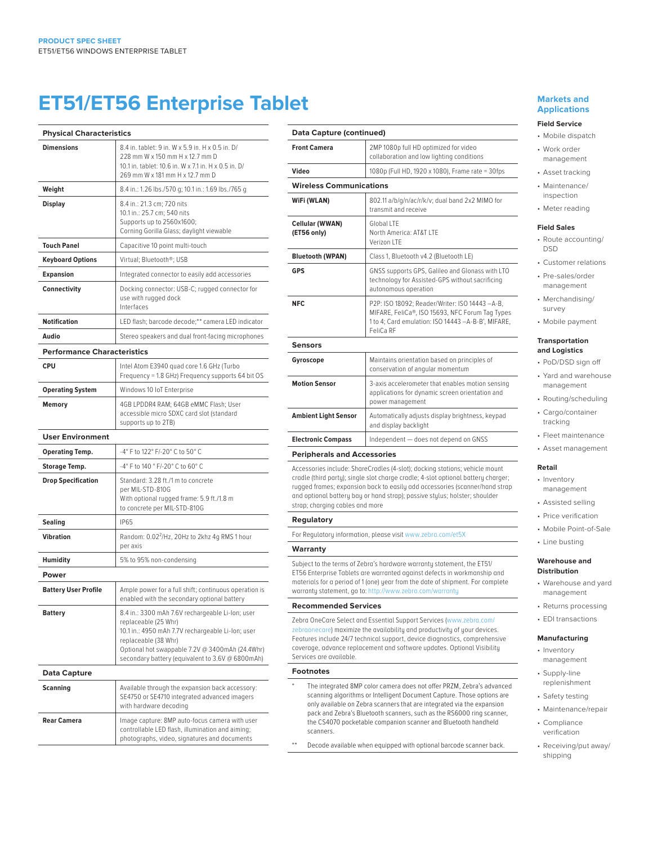## **ET51/ET56 Enterprise Tablet**

| <b>Physical Characteristics</b>    |                                                                                                                                                                                                                                                              |
|------------------------------------|--------------------------------------------------------------------------------------------------------------------------------------------------------------------------------------------------------------------------------------------------------------|
| <b>Dimensions</b>                  | 8.4 in. tablet: 9 in. W x 5.9 in. H x 0.5 in. D/<br>228 mm W x 150 mm H x 12.7 mm D<br>10.1 in. tablet: 10.6 in. W x 7.1 in. H x 0.5 in. D/<br>269 mm W x 181 mm H x 12.7 mm D                                                                               |
| Weight                             | 8.4 in.: 1.26 lbs./570 g; 10.1 in.: 1.69 lbs./765 g                                                                                                                                                                                                          |
| <b>Display</b>                     | 8.4 in.: 21.3 cm; 720 nits<br>10.1 in.: 25.7 cm; 540 nits<br>Supports up to 2560x1600;<br>Corning Gorilla Glass; daylight viewable                                                                                                                           |
| <b>Touch Panel</b>                 | Capacitive 10 point multi-touch                                                                                                                                                                                                                              |
| <b>Keyboard Options</b>            | Virtual; Bluetooth®; USB                                                                                                                                                                                                                                     |
| <b>Expansion</b>                   | Integrated connector to easily add accessories                                                                                                                                                                                                               |
| Connectivity                       | Docking connector: USB-C; rugged connector for<br>use with rugged dock<br>Interfaces                                                                                                                                                                         |
| <b>Notification</b>                | LED flash; barcode decode;** camera LED indicator                                                                                                                                                                                                            |
| Audio                              | Stereo speakers and dual front-facing microphones                                                                                                                                                                                                            |
| <b>Performance Characteristics</b> |                                                                                                                                                                                                                                                              |
| <b>CPU</b>                         | Intel Atom E3940 quad core 1.6 GHz (Turbo<br>Frequency = 1.8 GHz) Frequency supports 64 bit OS                                                                                                                                                               |
| <b>Operating System</b>            | Windows 10 IoT Enterprise                                                                                                                                                                                                                                    |
| <b>Memory</b>                      | 4GB LPDDR4 RAM; 64GB eMMC Flash; User<br>accessible micro SDXC card slot (standard<br>supports up to 2TB)                                                                                                                                                    |
| <b>User Environment</b>            |                                                                                                                                                                                                                                                              |
| Operating Temp.                    | -4° F to 122° F/-20° C to 50° C                                                                                                                                                                                                                              |
| <b>Storage Temp.</b>               | -4° F to 140 ° F/-20° C to 60° C                                                                                                                                                                                                                             |
| <b>Drop Specification</b>          | Standard: 3.28 ft./1 m to concrete<br>per MIL-STD-810G<br>With optional rugged frame: 5.9 ft./1.8 m<br>to concrete per MIL-STD-810G                                                                                                                          |
| <b>Sealing</b>                     | <b>IP65</b>                                                                                                                                                                                                                                                  |
| Vibration                          | Random: 0.02 <sup>2</sup> /Hz, 20Hz to 2khz 4g RMS 1 hour<br>per axis                                                                                                                                                                                        |
| <b>Humidity</b>                    | 5% to 95% non-condensing                                                                                                                                                                                                                                     |
| Power                              |                                                                                                                                                                                                                                                              |
| <b>Battery User Profile</b>        | Ample power for a full shift; continuous operation is<br>enabled with the secondary optional battery                                                                                                                                                         |
| <b>Battery</b>                     | 8.4 in.: 3300 mAh 7.6V rechargeable Li-Ion; user<br>replaceable (25 Whr)<br>10.1 in.: 4950 mAh 7.7V rechargeable Li-lon; user<br>replaceable (38 Whr)<br>Optional hot swappable 7.2V @ 3400mAh (24.4Whr)<br>secondary battery (equivalent to 3.6V @ 6800mAh) |
| Data Capture                       |                                                                                                                                                                                                                                                              |
| <b>Scanning</b>                    | Available through the expansion back accessory:<br>SE4750 or SE4710 integrated advanced imagers<br>with hardware decoding                                                                                                                                    |
| <b>Rear Camera</b>                 | Image capture: 8MP auto-focus camera with user<br>controllable LED flash, illumination and aiming;<br>photographs, video, signatures and documents                                                                                                           |

| Data Capture (continued)              |                                                                                                                                                                                                                                                                                                                               |
|---------------------------------------|-------------------------------------------------------------------------------------------------------------------------------------------------------------------------------------------------------------------------------------------------------------------------------------------------------------------------------|
| <b>Front Camera</b>                   | 2MP 1080p full HD optimized for video<br>collaboration and low lighting conditions                                                                                                                                                                                                                                            |
| Video                                 | 1080p (Full HD, 1920 x 1080), Frame rate = 30fps                                                                                                                                                                                                                                                                              |
| <b>Wireless Communications</b>        |                                                                                                                                                                                                                                                                                                                               |
| WiFi (WLAN)                           | 802.11 a/b/g/n/ac/r/k/v; dual band 2x2 MIMO for<br>transmit and receive                                                                                                                                                                                                                                                       |
| <b>Cellular (WWAN)</b><br>(ET56 only) | Global LTF<br>North America: AT&T I TF<br>Verizon LTE                                                                                                                                                                                                                                                                         |
| <b>Bluetooth (WPAN)</b>               | Class 1, Bluetooth v4.2 (Bluetooth LE)                                                                                                                                                                                                                                                                                        |
| <b>GPS</b>                            | GNSS supports GPS, Galileo and Glonass with LTO<br>technology for Assisted-GPS without sacrificing<br>autonomous operation                                                                                                                                                                                                    |
| <b>NFC</b>                            | P2P: ISO 18092; Reader/Writer: ISO 14443-A-B,<br>MIFARE, FeliCa®, ISO 15693, NFC Forum Tag Types<br>1 to 4; Card emulation: ISO 14443 -A-B-B', MIFARE,<br>FeliCa RF                                                                                                                                                           |
| <b>Sensors</b>                        |                                                                                                                                                                                                                                                                                                                               |
| Gyroscope                             | Maintains orientation based on principles of<br>conservation of angular momentum                                                                                                                                                                                                                                              |
| <b>Motion Sensor</b>                  | 3-axis accelerometer that enables motion sensing<br>applications for dynamic screen orientation and<br>power management                                                                                                                                                                                                       |
| <b>Ambient Light Sensor</b>           | Automatically adjusts display brightness, keypad<br>and display backlight                                                                                                                                                                                                                                                     |
| <b>Electronic Compass</b>             | Independent - does not depend on GNSS                                                                                                                                                                                                                                                                                         |
| <b>Peripherals and Accessories</b>    |                                                                                                                                                                                                                                                                                                                               |
| strap; charging cables and more       | Accessories include: ShareCradles (4-slot); docking stations; vehicle mount<br>cradle (third party); single slot charge cradle; 4-slot optional battery charger;<br>rugged frames; expansion back to easily add accessories (scanner/hand strap<br>and optional battery bay or hand strap); passive stylus; holster; shoulder |
|                                       |                                                                                                                                                                                                                                                                                                                               |

#### **Regulatory**

For Regulatory information, please visit [www.zebra.com/et5X](http://www.zebra.com/et5x)

#### **Warranty**

Subject to the terms of Zebra's hardware warranty statement, the ET51/ ET56 Enterprise Tablets are warranted against defects in workmanship and materials for a period of 1 (one) year from the date of shipment. For complete warranty statement, go to: <http://www.zebra.com/warranty>

#### **Recommended Services**

Zebra OneCare Select and Essential Support Services [\(www.zebra.com/](http://www.zebra.com/zebraonecare) [zebraonecare\)](http://www.zebra.com/zebraonecare) maximize the availability and productivity of your devices. Features include 24/7 technical support, device diagnostics, comprehensive coverage, advance replacement and software updates. Optional Visibility Services are available.

#### **Footnotes**

- \* The integrated 8MP color camera does not offer PRZM, Zebra's advanced scanning algorithms or Intelligent Document Capture. Those options are only available on Zebra scanners that are integrated via the expansion pack and Zebra's Bluetooth scanners, such as the RS6000 ring scanner, the CS4070 pocketable companion scanner and Bluetooth handheld scanners.
- Decode available when equipped with optional barcode scanner back.

#### **Markets and Applications**

#### **Field Service**

- Mobile dispatch • Work order management
- Asset tracking
- Maintenance/ inspection
- Meter reading

#### **Field Sales**

- Route accounting/ DSD
	- Customer relations
	- Pre-sales/order management
	- Merchandising/ survey
- Mobile payment

#### **Transportation and Logistics**

- PoD/DSD sign off • Yard and warehouse management
- Routing/scheduling
- Cargo/container tracking
- Fleet maintenance
- Asset management

#### **Retail**

- Inventory management
- Assisted selling
- Price verification
- Mobile Point-of-Sale
- Line busting

#### **Warehouse and Distribution**

- Warehouse and yard management
- Returns processing
- EDI transactions

#### **Manufacturing**

- Inventory management
- Supply-line replenishment
- Safety testing
- Maintenance/repair
- Compliance verification
- Receiving/put away/ shipping